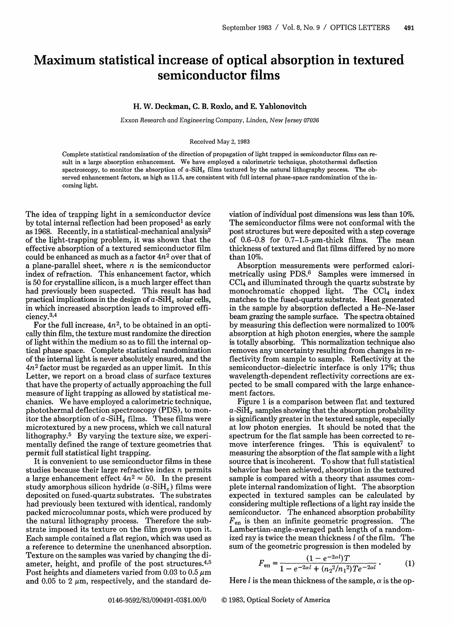## **Maximum statistical increase of optical absorption in textured semiconductor films**

## H. W. Deckman, C. B. Roxlo, and E. Yablonovitch

Exxon Research and Engineering Company, Linden, *New Jersey* 07036

## Received May 2, 1983

Complete statistical randomization of the direction of propagation of light trapped in semiconductor films can result in a large absorption enhancement. We have employed a calorimetric technique, photothermal deflection spectroscopy, to monitor the absorption of  $a-SiH<sub>x</sub>$  films textured by the natural lithography process. The observed enhancement factors, as high as 11.5, are consistent with full internal phase-space randomization of the incoming light.

The idea of trapping light in a semiconductor device by total internal reflection had been proposed' as early as 1968. Recently, in a statistical-mechanical analysis<sup>2</sup> of the light-trapping problem, it was shown that the effective absorption of a textured semiconductor film could be enhanced as much as a factor  $4n^2$  over that of a plane-parallel sheet, where  $n$  is the semiconductor index of refraction. This enhancement factor, which is 50 for crystalline silicon, is a much larger effect than had previously been suspected. This result has had practical implications in the design of  $a$ -SiH<sub>z</sub> solar cells, in which increased absorption leads to improved efficiency.3 ,4

For the full increase,  $4n^2$ , to be obtained in an optically thin film, the texture must randomize the direction of light within the medium so as to fill the internal optical phase space. Complete statistical randomization of the internal light is never absolutely ensured, and the *4n2* factor must be regarded as an upper limit. In this Letter, we report on a broad class of surface textures that have the property of actually approaching the full measure of light trapping as allowed by statistical mechanics. We have employed a calorimetric technique, photothermal deflection spectroscopy (PDS), to monitor the absorption of  $a-SiH_x$  films. These films were microtextured by a new process, which we call natural lithography.5 By varying the texture size, we experimentally defined the range of texture geometries that permit full statistical light trapping.

It is convenient to use semiconductor films in these studies because their large refractive index  $n$  permits a large enhancement effect  $4n^2 \approx 50$ . In the present study amorphous silicon hydride  $(a-SiH<sub>r</sub>)$  films were deposited on fused-quartz substrates. The substrates had previously been textured with identical, randomly packed microcolumnar posts, which were produced by the natural lithography process. Therefore the substrate imposed its texture on the film grown upon it. Each sample contained a flat region, which was used as a reference to determine the unenhanced absorption. Texture on the samples was varied by changing the diameter, height, and profile of the post structures.<sup>4,5</sup> Post heights and diameters varied from 0.03 to 0.5  $\mu$ m and 0.05 to 2  $\mu$ m, respectively, and the standard deviation of individual post dimensions was less than 10%. The semiconductor films were not conformal with the post structures but were deposited with a step coverage of  $0.6-0.8$  for  $0.7-1.5$ -um-thick films. The mean thickness of textured and flat films differed by no more than 10%.

Absorption measurements were performed calorimetrically using PDS.6 Samples were immersed in  $CCl<sub>4</sub>$  and illuminated through the quartz substrate by<br>monochromatic chopped light. The  $CCl<sub>4</sub>$  index monochromatic chopped light. matches to the fused-quartz substrate. Heat generated in the sample by absorption deflected a He-Ne-laser beam grazing the sample surface. The spectra obtained by measuring this deflection were normalized to 100% absorption at high photon energies, where the sample is totally absorbing. This normalization technique also removes any uncertainty resulting from changes in reflectivity from sample to sample. Reflectivity at the semiconductor-dielectric interface is only 17%; thus wavelength-dependent reflectivity corrections are expected to be small compared with the large enhancement factors.

Figure 1 is a comparison between flat and textured  $a$ -SiH<sub>r</sub> samples showing that the absorption probability is significantly greater in the textured sample, especially at low photon energies. It should be noted that the spectrum for the flat sample has been corrected to remove interference fringes. This is equivalent<sup>7</sup> to measuring the absorption of the flat sample with a light source that is incoherent. To show that full statistical behavior has been achieved, absorption in the textured sample is compared with a theory that assumes complete internal randomization of light. The absorption expected in textured samples can be calculated by considering multiple reflections of a light ray inside the semiconductor. The enhanced absorption probability  $F_{en}$  is then an infinite geometric progression. The Lambertian-angle-averaged path length of a randomized ray is twice the mean thickness *1* of the film. The

used ray is twice the mean thickness *l* of the film. The sum of the geometric progression is then modeled by

\n
$$
F_{en} = \frac{(1 - e^{-2\alpha l})T}{1 - e^{-2\alpha l} + (n_2^2/n_1^2)Te^{-2\alpha l}}.
$$
\n(1)

Here  $l$  is the mean thickness of the sample,  $\alpha$  is the op-

0146-9592/83/090491-03\$1.00/0 © 1983, Optical Society of America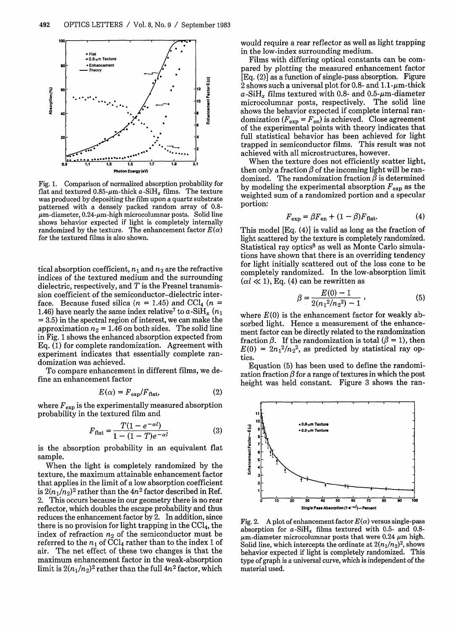

Fig. 1. Comparison of normalized absorption probability for flat and textured  $0.85$ -um-thick a-SiH. films. The texture was produced by depositing the *film* upon a quartz substrate patterned with a densely packed random array of 0.8-  $\mu$ m-diameter, 0.24- $\mu$ m-high microcolumnar posts. Solid line shows behavior expected if light is completely internally randomized by the texture. The enhancement factor  $E(\alpha)$ for the textured films is also shown.

tical absorption coefficient,  $n_1$  and  $n_2$  are the refractive indices of the textured medium and the surrounding dielectric, respectively, and  $T$  is the Fresnel transmission coefficient of the semiconductor-dielectric interface. Because fused silica ( $n = 1.45$ ) and CCl<sub>4</sub> ( $n =$ 1.46) have nearly the same index relative<sup>7</sup> to  $a$ -SiH<sub>x</sub>  $(n_1)$ = 3.5) in the spectral region of interest, we can make the approximation  $n_2 = 1.46$  on both sides. The solid line in Fig. 1 shows the enhanced absorption expected from Eq. (1) for complete randomization. Agreement with experiment indicates that essentially complete randomization was achieved.

To compare enhancement in different films, we define an enhancement factor

$$
E(\alpha) = F_{\text{exp}}/F_{\text{flat}},\tag{2}
$$

where  $F_{exp}$  is the experimentally measured absorption probability in the textured film and

$$
F_{\text{flat}} = \frac{T(1 - e^{-\alpha l})}{1 - (1 - T)e^{-\alpha l}} \tag{3}
$$

is the absorption probability in an equivalent flat sample.

When the light is completely randomized by the texture, the maximum attainable enhancement factor that applies in the limit of a low absorption coefficient is  $2(n_1/n_2)^2$  rather than the  $4n^2$  factor described in Ref. 2. This occurs because in our geometry there is no rear reflector, which doubles the escape probability and thus reduces the enhancement factor by 2. In addition, since there is no provision for light trapping in the  $\text{CCI}_4$ , the index of refraction  $n_2$  of the semiconductor must be referred to the  $n_1$  of CCl<sub>4</sub> rather than to the index 1 of air. The net effect of these two changes is that the maximum enhancement factor in the weak-absorption limit is  $2(n_1/n_2)^2$  rather than the full  $4n^2$  factor, which would require a rear reflector as well as light trapping in the low-index surrounding medium.

Films with differing optical constants can be compared by plotting the measured enhancement factor [Eq. (2)] as a function of single-pass absorption. Figure 2 shows such a universal plot for 0.8- and  $1.1-\mu$ m-thick  $a$ -SiH<sub>x</sub> films textured with 0.8- and 0.5- $\mu$ m-diameter microcolumnar posts, respectively. The solid line shows the behavior expected if complete internal ran- $\text{domization } (F_{\text{exp}} = F_{\text{en}})$  is achieved.  $\text{Close agreement}$ of the experimental points with theory indicates that full statistical behavior has been achieved for light trapped in semiconductor films. This result was not achieved with all microstructures, however.

When the texture does not efficiently scatter light, then only a fraction  $\beta$  of the incoming light will be randomized. The randomization fraction  $\beta$  is determined by modeling the experimental absorption  $F_{\text{exp}}$  as the weighted sum of a randomized portion and a specular portion:

$$
F_{\rm exp} = \beta F_{\rm en} + (1 - \beta) F_{\rm flat}.
$$
 (4)

This model [Eq. (4)] is valid as long as the fraction of light scattered by the texture is completely randomized. Statistical ray optics<sup>8</sup> as well as Monte Carlo simulations have shown that there is an overriding tendency for light initially scattered out of the loss cone to be completely randomized. In the low-absorption limit  $(\alpha \mathit{l} \ll 1)$ , Eq. (4) can be rewritten as

$$
\beta = \frac{E(0) - 1}{2(n_1^2/n_2^2) - 1},
$$
\n(5)

where  $E(0)$  is the enhancement factor for weakly absorbed light. Hence a measurement of the enhancement factor can be directly related to the randomization fraction  $\beta$ . If the randomization is total  $(\beta = 1)$ , then  $E(0) = 2n_1^2/n_2^2$ , as predicted by statistical ray optics.

Equation (5) has been used to define the randomization fraction  $\beta$  for a range of textures in which the post height was held constant. Figure 3 shows the ran-



Fig. 2. A plot of enhancement factor  $E(\alpha)$  versus single-pass absorption for  $a$ -SiH<sub> $x$ </sub> films textured with 0.5- and 0.8- $\mu$ m-diameter microcolumnar posts that were 0.24  $\mu$ m high. Solid line, which intercepts the ordinate at  $2(n_1/n_2)^2$ , shows behavior expected if light is completely randomized. This type of graph is a universal curve, which is independent of the material used.